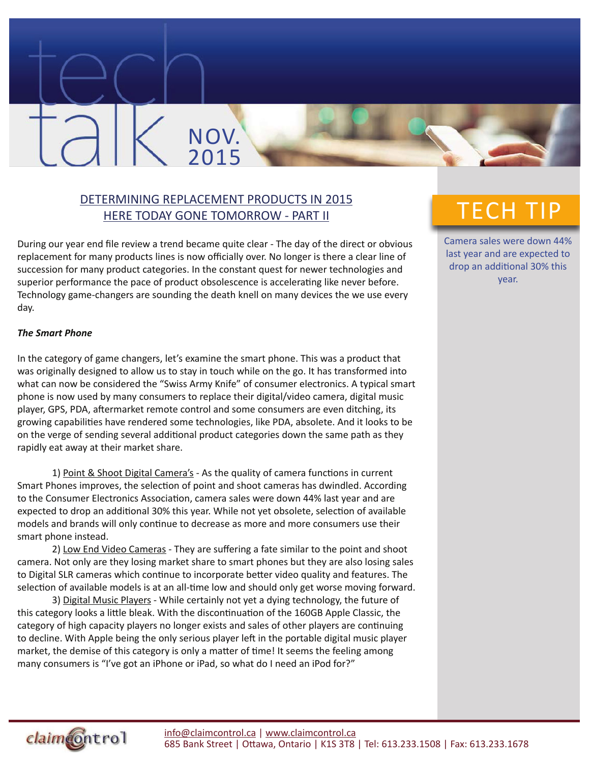### DETERMINING REPLACEMENT PRODUCTS IN 2015 HERE TODAY GONE TOMORROW - PART II

NOV.

2015

During our year end file review a trend became quite clear - The day of the direct or obvious replacement for many products lines is now officially over. No longer is there a clear line of succession for many product categories. In the constant quest for newer technologies and superior performance the pace of product obsolescence is accelerating like never before. Technology game-changers are sounding the death knell on many devices the we use every day.

#### *The Smart Phone*

In the category of game changers, let's examine the smart phone. This was a product that was originally designed to allow us to stay in touch while on the go. It has transformed into what can now be considered the "Swiss Army Knife" of consumer electronics. A typical smart phone is now used by many consumers to replace their digital/video camera, digital music player, GPS, PDA, aftermarket remote control and some consumers are even ditching, its growing capabilities have rendered some technologies, like PDA, absolete. And it looks to be on the verge of sending several additional product categories down the same path as they rapidly eat away at their market share.

1) Point & Shoot Digital Camera's - As the quality of camera functions in current Smart Phones improves, the selection of point and shoot cameras has dwindled. According to the Consumer Electronics Association, camera sales were down 44% last year and are expected to drop an additional 30% this year. While not yet obsolete, selection of available models and brands will only continue to decrease as more and more consumers use their smart phone instead.

2) Low End Video Cameras - They are suffering a fate similar to the point and shoot camera. Not only are they losing market share to smart phones but they are also losing sales to Digital SLR cameras which continue to incorporate better video quality and features. The selection of available models is at an all-time low and should only get worse moving forward.

3) Digital Music Players - While certainly not yet a dying technology, the future of this category looks a little bleak. With the discontinuation of the 160GB Apple Classic, the category of high capacity players no longer exists and sales of other players are continuing to decline. With Apple being the only serious player left in the portable digital music player market, the demise of this category is only a matter of time! It seems the feeling among many consumers is "I've got an iPhone or iPad, so what do I need an iPod for?"

## TECH TIP

Camera sales were down 44% last year and are expected to drop an additional 30% this year.

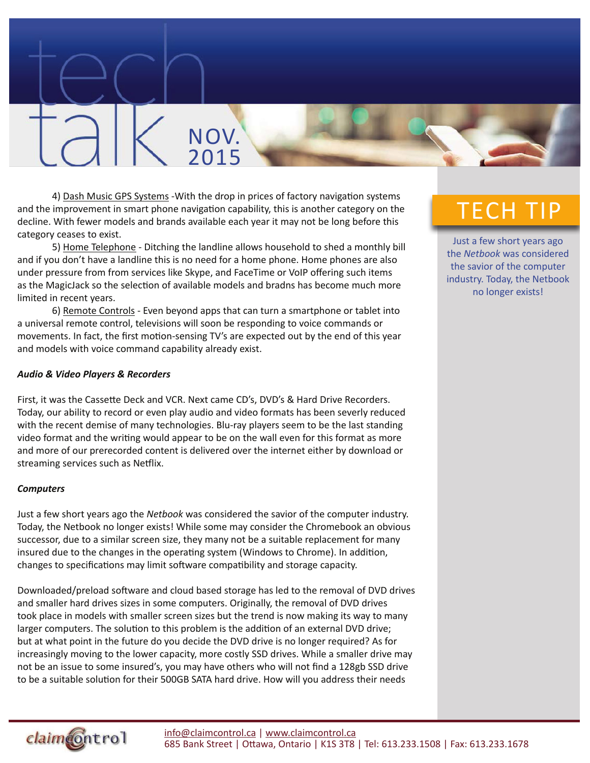4) Dash Music GPS Systems -With the drop in prices of factory navigation systems and the improvement in smart phone navigation capability, this is another category on the decline. With fewer models and brands available each year it may not be long before this category ceases to exist.

NOV.

2015

5) Home Telephone - Ditching the landline allows household to shed a monthly bill and if you don't have a landline this is no need for a home phone. Home phones are also under pressure from from services like Skype, and FaceTime or VoIP offering such items as the MagicJack so the selection of available models and bradns has become much more limited in recent years.

6) Remote Controls - Even beyond apps that can turn a smartphone or tablet into a universal remote control, televisions will soon be responding to voice commands or movements. In fact, the first motion-sensing TV's are expected out by the end of this year and models with voice command capability already exist.

#### *Audio & Video Players & Recorders*

First, it was the Cassette Deck and VCR. Next came CD's, DVD's & Hard Drive Recorders. Today, our ability to record or even play audio and video formats has been severly reduced with the recent demise of many technologies. Blu-ray players seem to be the last standing video format and the writing would appear to be on the wall even for this format as more and more of our prerecorded content is delivered over the internet either by download or streaming services such as Netflix.

#### *Computers*

Just a few short years ago the *Netbook* was considered the savior of the computer industry. Today, the Netbook no longer exists! While some may consider the Chromebook an obvious successor, due to a similar screen size, they many not be a suitable replacement for many insured due to the changes in the operating system (Windows to Chrome). In addition, changes to specifications may limit software compatibility and storage capacity.

Downloaded/preload software and cloud based storage has led to the removal of DVD drives and smaller hard drives sizes in some computers. Originally, the removal of DVD drives took place in models with smaller screen sizes but the trend is now making its way to many larger computers. The solution to this problem is the addition of an external DVD drive; but at what point in the future do you decide the DVD drive is no longer required? As for increasingly moving to the lower capacity, more costly SSD drives. While a smaller drive may not be an issue to some insured's, you may have others who will not find a 128gb SSD drive to be a suitable solution for their 500GB SATA hard drive. How will you address their needs

# TECH TIP

Just a few short years ago the *Netbook* was considered the savior of the computer industry. Today, the Netbook no longer exists!